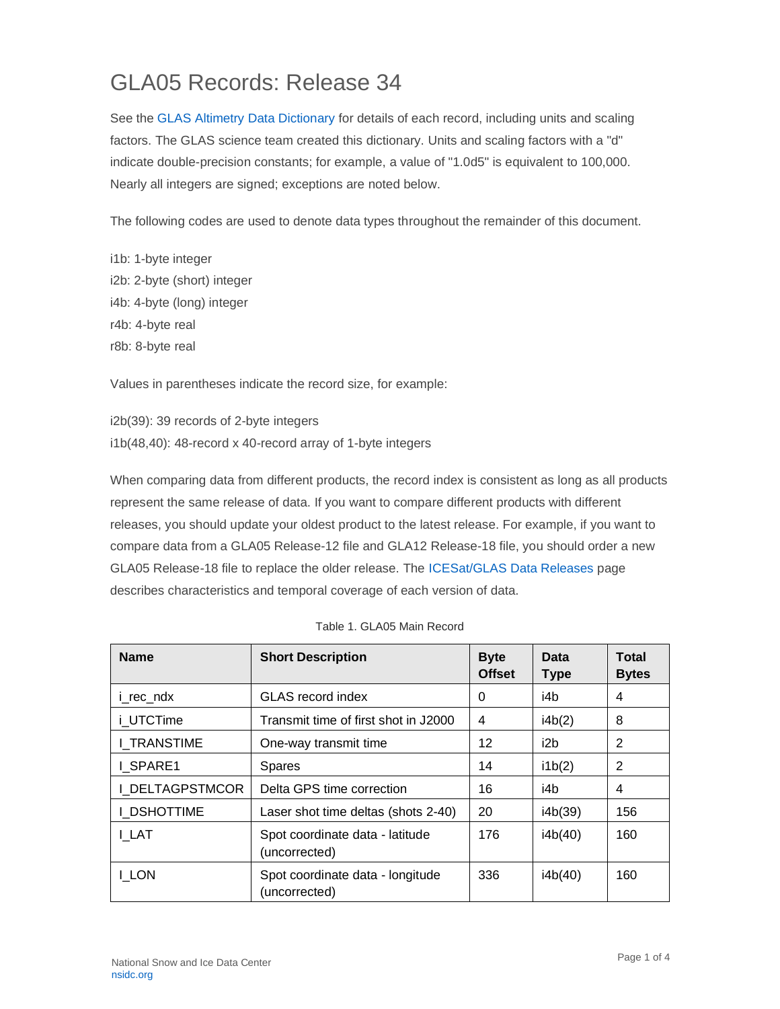## GLA05 Records: Release 34

See the [GLAS Altimetry Data Dictionary](https://nsidc.org/data/icesat/technical-references) for details of each record, including units and scaling factors. The GLAS science team created this dictionary. Units and scaling factors with a "d" indicate double-precision constants; for example, a value of "1.0d5" is equivalent to 100,000. Nearly all integers are signed; exceptions are noted below.

The following codes are used to denote data types throughout the remainder of this document.

i1b: 1-byte integer i2b: 2-byte (short) integer i4b: 4-byte (long) integer r4b: 4-byte real r8b: 8-byte real

Values in parentheses indicate the record size, for example:

i2b(39): 39 records of 2-byte integers i1b(48,40): 48-record x 40-record array of 1-byte integers

When comparing data from different products, the record index is consistent as long as all products represent the same release of data. If you want to compare different products with different releases, you should update your oldest product to the latest release. For example, if you want to compare data from a GLA05 Release-12 file and GLA12 Release-18 file, you should order a new GLA05 Release-18 file to replace the older release. The [ICESat/GLAS Data Releases](https://nsidc.org/data/icesat) page describes characteristics and temporal coverage of each version of data.

| <b>Name</b>            | <b>Short Description</b>                          | <b>Byte</b><br><b>Offset</b> | Data<br><b>Type</b> | Total<br><b>Bytes</b> |
|------------------------|---------------------------------------------------|------------------------------|---------------------|-----------------------|
| i rec ndx              | <b>GLAS</b> record index                          | 0                            | i4b                 | 4                     |
| i UTCTime              | Transmit time of first shot in J2000              | 4                            | i4b(2)              | 8                     |
| <b>I TRANSTIME</b>     | One-way transmit time                             | 12                           | i2b                 | 2                     |
| I SPARE1               | <b>Spares</b>                                     | 14                           | i1b(2)              | 2                     |
| <b>I DELTAGPSTMCOR</b> | Delta GPS time correction                         | 16                           | i4b                 | 4                     |
| I DSHOTTIME            | Laser shot time deltas (shots 2-40)               | 20                           | i4b(39)             | 156                   |
| I LAT                  | Spot coordinate data - latitude<br>(uncorrected)  | 176                          | i4b(40)             | 160                   |
| I LON                  | Spot coordinate data - longitude<br>(uncorrected) | 336                          | i4b(40)             | 160                   |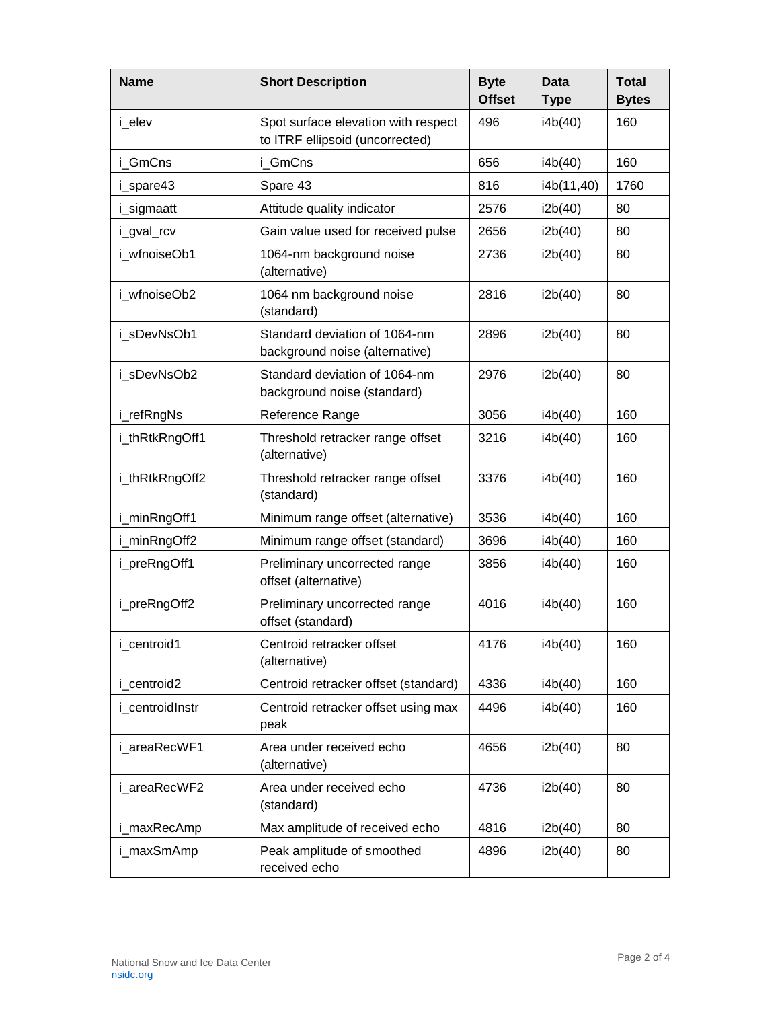| <b>Name</b>     | <b>Short Description</b>                                               | <b>Byte</b><br><b>Offset</b> | Data<br><b>Type</b> | <b>Total</b><br><b>Bytes</b> |
|-----------------|------------------------------------------------------------------------|------------------------------|---------------------|------------------------------|
| i_elev          | Spot surface elevation with respect<br>to ITRF ellipsoid (uncorrected) | 496                          | i4b(40)             | 160                          |
| i GmCns         | i_GmCns                                                                | 656                          | i4b(40)             | 160                          |
| i_spare43       | Spare 43                                                               | 816                          | i4b(11,40)          | 1760                         |
| i_sigmaatt      | Attitude quality indicator                                             | 2576                         | i2b(40)             | 80                           |
| i_gval_rcv      | Gain value used for received pulse                                     | 2656                         | i2b(40)             | 80                           |
| i_wfnoiseOb1    | 1064-nm background noise<br>(alternative)                              | 2736                         | i2b(40)             | 80                           |
| i wfnoiseOb2    | 1064 nm background noise<br>(standard)                                 | 2816                         | i2b(40)             | 80                           |
| i sDevNsOb1     | Standard deviation of 1064-nm<br>background noise (alternative)        | 2896                         | i2b(40)             | 80                           |
| i sDevNsOb2     | Standard deviation of 1064-nm<br>background noise (standard)           | 2976                         | i2b(40)             | 80                           |
| i_refRngNs      | Reference Range                                                        | 3056                         | i4b(40)             | 160                          |
| i_thRtkRngOff1  | Threshold retracker range offset<br>(alternative)                      | 3216                         | i4b(40)             | 160                          |
| i_thRtkRngOff2  | Threshold retracker range offset<br>(standard)                         | 3376                         | i4b(40)             | 160                          |
| i_minRngOff1    | Minimum range offset (alternative)                                     | 3536                         | i4b(40)             | 160                          |
| i_minRngOff2    | Minimum range offset (standard)                                        | 3696                         | i4b(40)             | 160                          |
| i_preRngOff1    | Preliminary uncorrected range<br>offset (alternative)                  | 3856                         | i4b(40)             | 160                          |
| i_preRngOff2    | Preliminary uncorrected range<br>offset (standard)                     | 4016                         | i4b(40)             | 160                          |
| i_centroid1     | Centroid retracker offset<br>(alternative)                             | 4176                         | i4b(40)             | 160                          |
| i_centroid2     | Centroid retracker offset (standard)                                   | 4336                         | i4b(40)             | 160                          |
| i_centroidInstr | Centroid retracker offset using max<br>peak                            | 4496                         | i4b(40)             | 160                          |
| i areaRecWF1    | Area under received echo<br>(alternative)                              | 4656                         | i2b(40)             | 80                           |
| i areaRecWF2    | Area under received echo<br>(standard)                                 | 4736                         | i2b(40)             | 80                           |
| i_maxRecAmp     | Max amplitude of received echo                                         | 4816                         | i2b(40)             | 80                           |
| i_maxSmAmp      | Peak amplitude of smoothed<br>received echo                            | 4896                         | i2b(40)             | 80                           |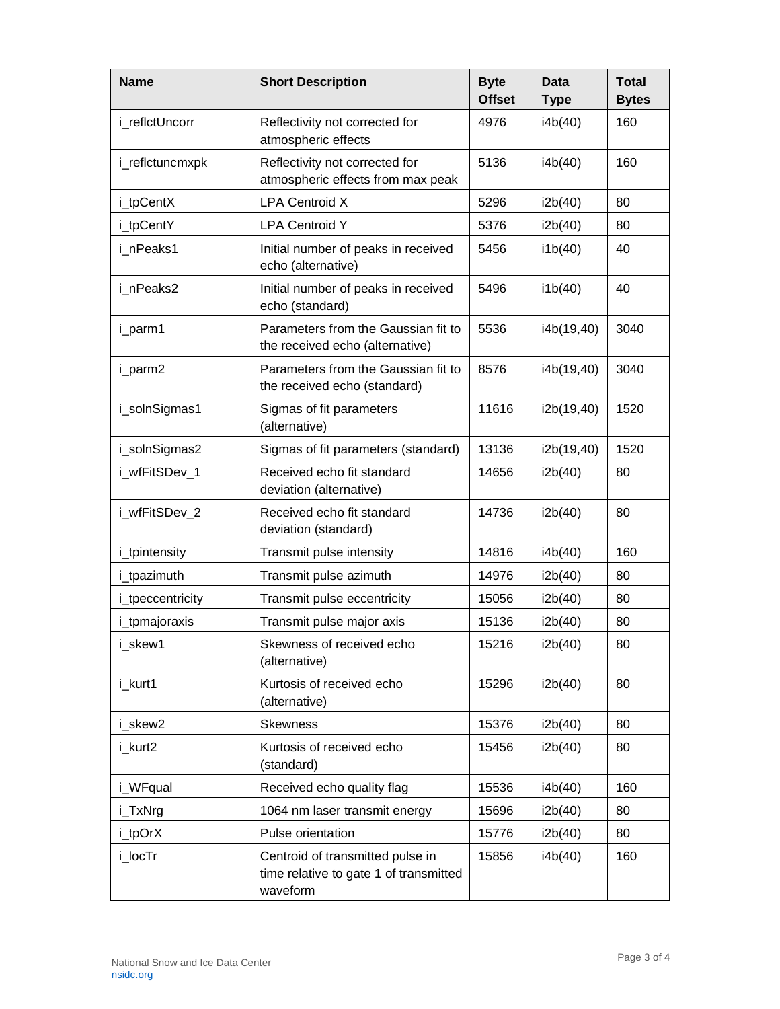| <b>Name</b>      | <b>Short Description</b>                                                               | <b>Byte</b><br><b>Offset</b> | <b>Data</b><br><b>Type</b> | <b>Total</b><br><b>Bytes</b> |
|------------------|----------------------------------------------------------------------------------------|------------------------------|----------------------------|------------------------------|
| i_reflctUncorr   | Reflectivity not corrected for<br>atmospheric effects                                  | 4976                         | i4b(40)                    | 160                          |
| i_reflctuncmxpk  | Reflectivity not corrected for<br>atmospheric effects from max peak                    | 5136                         | i4b(40)                    | 160                          |
| i_tpCentX        | <b>LPA Centroid X</b>                                                                  | 5296                         | i2b(40)                    | 80                           |
| i_tpCentY        | <b>LPA Centroid Y</b>                                                                  | 5376                         | i2b(40)                    | 80                           |
| i nPeaks1        | Initial number of peaks in received<br>echo (alternative)                              | 5456                         | i1b(40)                    | 40                           |
| i_nPeaks2        | Initial number of peaks in received<br>echo (standard)                                 | 5496                         | i1b(40)                    | 40                           |
| i_parm1          | Parameters from the Gaussian fit to<br>the received echo (alternative)                 | 5536                         | i4b(19,40)                 | 3040                         |
| i_parm2          | Parameters from the Gaussian fit to<br>the received echo (standard)                    | 8576                         | i4b(19,40)                 | 3040                         |
| i_solnSigmas1    | Sigmas of fit parameters<br>(alternative)                                              | 11616                        | i2b(19,40)                 | 1520                         |
| i_solnSigmas2    | Sigmas of fit parameters (standard)                                                    | 13136                        | i2b(19,40)                 | 1520                         |
| i_wfFitSDev_1    | Received echo fit standard<br>deviation (alternative)                                  | 14656                        | i2b(40)                    | 80                           |
| i_wfFitSDev_2    | Received echo fit standard<br>deviation (standard)                                     | 14736                        | i2b(40)                    | 80                           |
| i_tpintensity    | Transmit pulse intensity                                                               | 14816                        | i4b(40)                    | 160                          |
| i_tpazimuth      | Transmit pulse azimuth                                                                 | 14976                        | i2b(40)                    | 80                           |
| i_tpeccentricity | Transmit pulse eccentricity                                                            | 15056                        | i2b(40)                    | 80                           |
| i_tpmajoraxis    | Transmit pulse major axis                                                              | 15136                        | i2b(40)                    | 80                           |
| i_skew1          | Skewness of received echo<br>(alternative)                                             | 15216                        | i2b(40)                    | 80                           |
| i_kurt1          | Kurtosis of received echo<br>(alternative)                                             | 15296                        | i2b(40)                    | 80                           |
| i_skew2          | <b>Skewness</b>                                                                        | 15376                        | i2b(40)                    | 80                           |
| i_kurt2          | Kurtosis of received echo<br>(standard)                                                | 15456                        | i2b(40)                    | 80                           |
| i_WFqual         | Received echo quality flag                                                             | 15536                        | i4b(40)                    | 160                          |
| i_TxNrg          | 1064 nm laser transmit energy                                                          | 15696                        | i2b(40)                    | 80                           |
| i_tpOrX          | Pulse orientation                                                                      | 15776                        | i2b(40)                    | 80                           |
| i_locTr          | Centroid of transmitted pulse in<br>time relative to gate 1 of transmitted<br>waveform | 15856                        | i4b(40)                    | 160                          |